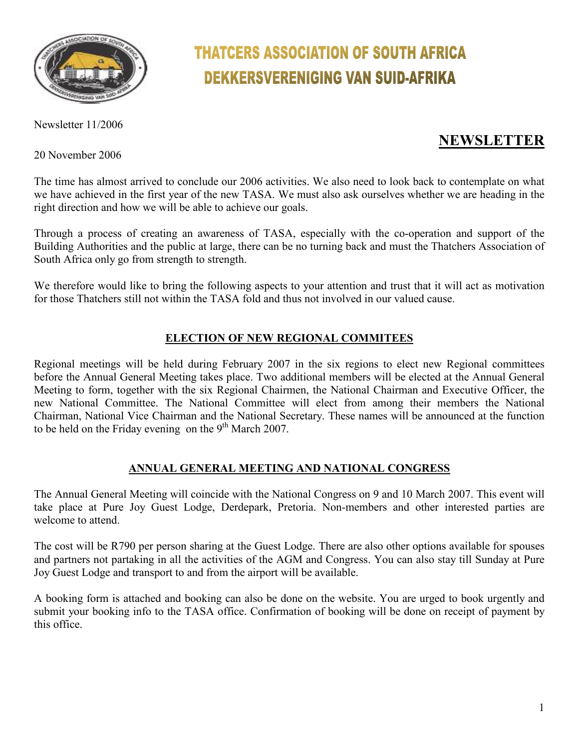

# **THATCERS ASSOCIATION OF SOUTH AFRICA DEKKERSVERENIGING VAN SUID-AFRIKA**

Newsletter 11/2006

20 November 2006

# **NEWSLETTER**

The time has almost arrived to conclude our 2006 activities. We also need to look back to contemplate on what we have achieved in the first year of the new TASA. We must also ask ourselves whether we are heading in the right direction and how we will be able to achieve our goals.

Through a process of creating an awareness of TASA, especially with the co-operation and support of the Building Authorities and the public at large, there can be no turning back and must the Thatchers Association of South Africa only go from strength to strength.

We therefore would like to bring the following aspects to your attention and trust that it will act as motivation for those Thatchers still not within the TASA fold and thus not involved in our valued cause.

# **ELECTION OF NEW REGIONAL COMMITEES**

Regional meetings will be held during February 2007 in the six regions to elect new Regional committees before the Annual General Meeting takes place. Two additional members will be elected at the Annual General Meeting to form, together with the six Regional Chairmen, the National Chairman and Executive Officer, the new National Committee. The National Committee will elect from among their members the National Chairman, National Vice Chairman and the National Secretary. These names will be announced at the function to be held on the Friday evening on the  $9<sup>th</sup>$  March 2007.

# **ANNUAL GENERAL MEETING AND NATIONAL CONGRESS**

The Annual General Meeting will coincide with the National Congress on 9 and 10 March 2007. This event will take place at Pure Joy Guest Lodge, Derdepark, Pretoria. Non-members and other interested parties are welcome to attend.

The cost will be R790 per person sharing at the Guest Lodge. There are also other options available for spouses and partners not partaking in all the activities of the AGM and Congress. You can also stay till Sunday at Pure Joy Guest Lodge and transport to and from the airport will be available.

A booking form is attached and booking can also be done on the website. You are urged to book urgently and submit your booking info to the TASA office. Confirmation of booking will be done on receipt of payment by this office.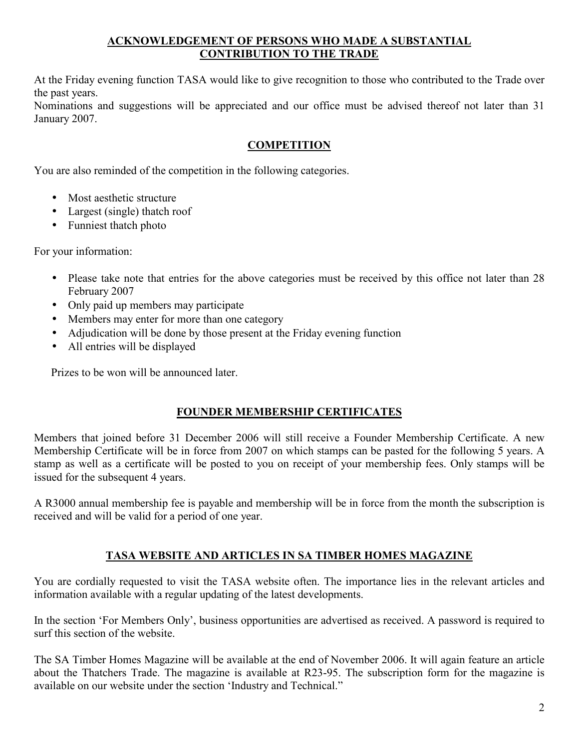### **ACKNOWLEDGEMENT OF PERSONS WHO MADE A SUBSTANTIAL CONTRIBUTION TO THE TRADE**

At the Friday evening function TASA would like to give recognition to those who contributed to the Trade over the past years.

Nominations and suggestions will be appreciated and our office must be advised thereof not later than 31 January 2007.

# **COMPETITION**

You are also reminded of the competition in the following categories.

- Most aesthetic structure
- Largest (single) thatch roof
- Funniest thatch photo

For your information:

- Please take note that entries for the above categories must be received by this office not later than 28 February 2007
- Only paid up members may participate
- Members may enter for more than one category
- Adjudication will be done by those present at the Friday evening function
- All entries will be displayed

Prizes to be won will be announced later.

# **FOUNDER MEMBERSHIP CERTIFICATES**

Members that joined before 31 December 2006 will still receive a Founder Membership Certificate. A new Membership Certificate will be in force from 2007 on which stamps can be pasted for the following 5 years. A stamp as well as a certificate will be posted to you on receipt of your membership fees. Only stamps will be issued for the subsequent 4 years.

A R3000 annual membership fee is payable and membership will be in force from the month the subscription is received and will be valid for a period of one year.

# **TASA WEBSITE AND ARTICLES IN SA TIMBER HOMES MAGAZINE**

You are cordially requested to visit the TASA website often. The importance lies in the relevant articles and information available with a regular updating of the latest developments.

In the section 'For Members Only', business opportunities are advertised as received. A password is required to surf this section of the website.

The SA Timber Homes Magazine will be available at the end of November 2006. It will again feature an article about the Thatchers Trade. The magazine is available at R23-95. The subscription form for the magazine is available on our website under the section 'Industry and Technical."